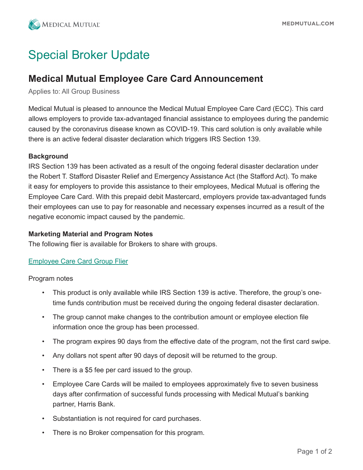

# Special Broker Update

# **Medical Mutual Employee Care Card Announcement**

Applies to: All Group Business

Medical Mutual is pleased to announce the Medical Mutual Employee Care Card (ECC). This card allows employers to provide tax-advantaged financial assistance to employees during the pandemic caused by the coronavirus disease known as COVID-19. This card solution is only available while there is an active federal disaster declaration which triggers IRS Section 139.

#### **Background**

IRS Section 139 has been activated as a result of the ongoing federal disaster declaration under the Robert T. Stafford Disaster Relief and Emergency Assistance Act (the Stafford Act). To make it easy for employers to provide this assistance to their employees, Medical Mutual is offering the Employee Care Card. With this prepaid debit Mastercard, employers provide tax-advantaged funds their employees can use to pay for reasonable and necessary expenses incurred as a result of the negative economic impact caused by the pandemic.

#### **Marketing Material and Program Notes**

The following flier is available for Brokers to share with groups.

## [Employee Care Card Group Flier](https://static.cdn.responsys.net/i5/responsysimages/content/medmutualoh/Medical%20Mutual%20Care%20Card%20Information%20Final.pdf)

Program notes

- This product is only available while IRS Section 139 is active. Therefore, the group's onetime funds contribution must be received during the ongoing federal disaster declaration.
- The group cannot make changes to the contribution amount or employee election file information once the group has been processed.
- The program expires 90 days from the effective date of the program, not the first card swipe.
- Any dollars not spent after 90 days of deposit will be returned to the group.
- There is a \$5 fee per card issued to the group.
- Employee Care Cards will be mailed to employees approximately five to seven business days after confirmation of successful funds processing with Medical Mutual's banking partner, Harris Bank.
- Substantiation is not required for card purchases.
- There is no Broker compensation for this program.